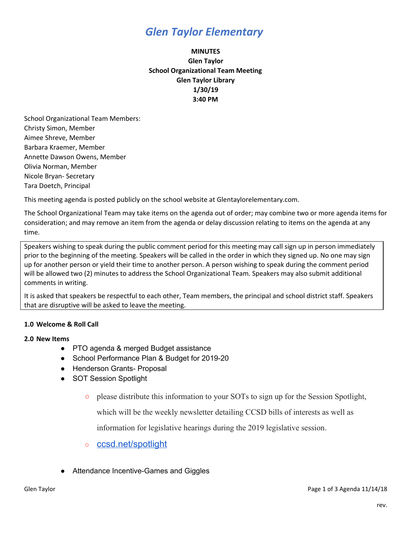# *Glen Taylor Elementary*

## **MINUTES Glen Taylor School Organizational Team Meeting Glen Taylor Library 1/30/19 3:40 PM**

School Organizational Team Members: Christy Simon, Member Aimee Shreve, Member Barbara Kraemer, Member Annette Dawson Owens, Member Olivia Norman, Member Nicole Bryan- Secretary Tara Doetch, Principal

This meeting agenda is posted publicly on the school website at Glentaylorelementary.com.

The School Organizational Team may take items on the agenda out of order; may combine two or more agenda items for consideration; and may remove an item from the agenda or delay discussion relating to items on the agenda at any time.

Speakers wishing to speak during the public comment period for this meeting may call sign up in person immediately prior to the beginning of the meeting. Speakers will be called in the order in which they signed up. No one may sign up for another person or yield their time to another person. A person wishing to speak during the comment period will be allowed two (2) minutes to address the School Organizational Team. Speakers may also submit additional comments in writing.

It is asked that speakers be respectful to each other, Team members, the principal and school district staff. Speakers that are disruptive will be asked to leave the meeting.

### **1.0 Welcome & Roll Call**

### **2.0 New Items**

- PTO agenda & merged Budget assistance
- School Performance Plan & Budget for 2019-20
- Henderson Grants- Proposal
- SOT Session Spotlight
	- please distribute this information to your SOTs to sign up for the Session Spotlight,

which will be the weekly newsletter detailing CCSD bills of interests as well as

information for legislative hearings during the 2019 legislative session.

- [ccsd.net/spotlight](http://ccsd.net/spotlight)
- Attendance Incentive-Games and Giggles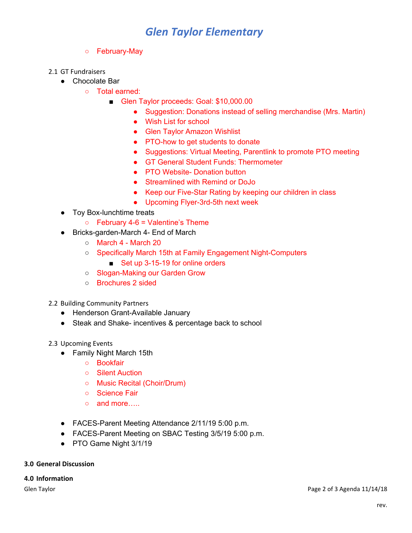# *Glen Taylor Elementary*

### ○ February-May

#### 2.1 GT Fundraisers

- Chocolate Bar
	- Total earned:
		- Glen Taylor proceeds: Goal: \$10,000.00
			- Suggestion: Donations instead of selling merchandise (Mrs. Martin)
			- Wish List for school
			- Glen Taylor Amazon Wishlist
			- PTO-how to get students to donate
			- Suggestions: Virtual Meeting, Parentlink to promote PTO meeting
			- GT General Student Funds: Thermometer
			- PTO Website- Donation button
			- Streamlined with Remind or DoJo
			- Keep our Five-Star Rating by keeping our children in class
			- Upcoming Flyer-3rd-5th next week
- Toy Box-lunchtime treats
	- $\circ$  February 4-6 = Valentine's Theme
- Bricks-garden-March 4- End of March
	- March 4 March 20
	- Specifically March 15th at Family Engagement Night-Computers
		- Set up 3-15-19 for online orders
	- Slogan-Making our Garden Grow
	- Brochures 2 sided
- 2.2 Building Community Partners
	- Henderson Grant-Available January
	- Steak and Shake- incentives & percentage back to school

#### 2.3 Upcoming Events

- Family Night March 15th
	- Bookfair
	- Silent Auction
	- Music Recital (Choir/Drum)
	- Science Fair
	- o and more…..
- FACES-Parent Meeting Attendance 2/11/19 5:00 p.m.
- FACES-Parent Meeting on SBAC Testing 3/5/19 5:00 p.m.
- PTO Game Night 3/1/19

#### **3.0 General Discussion**

#### **4.0 Information**